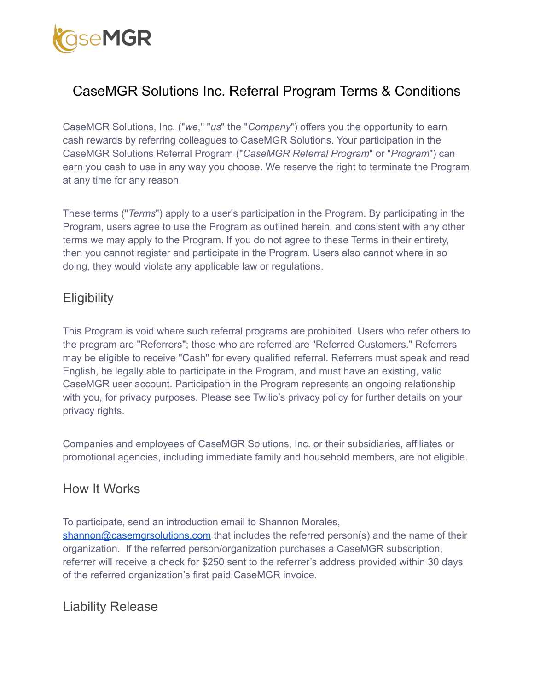

# CaseMGR Solutions Inc. Referral Program Terms & Conditions

CaseMGR Solutions, Inc. ("*we*," "*us*" the "*Company*") offers you the opportunity to earn cash rewards by referring colleagues to CaseMGR Solutions. Your participation in the CaseMGR Solutions Referral Program ("*CaseMGR Referral Program*" or "*Program*") can earn you cash to use in any way you choose. We reserve the right to terminate the Program at any time for any reason.

These terms ("*Terms*") apply to a user's participation in the Program. By participating in the Program, users agree to use the Program as outlined herein, and consistent with any other terms we may apply to the Program. If you do not agree to these Terms in their entirety, then you cannot register and participate in the Program. Users also cannot where in so doing, they would violate any applicable law or regulations.

### **Eligibility**

This Program is void where such referral programs are prohibited. Users who refer others to the program are "Referrers"; those who are referred are "Referred Customers." Referrers may be eligible to receive "Cash" for every qualified referral. Referrers must speak and read English, be legally able to participate in the Program, and must have an existing, valid CaseMGR user account. Participation in the Program represents an ongoing relationship with you, for privacy purposes. Please see Twilio's privacy policy for further details on your privacy rights.

Companies and employees of CaseMGR Solutions, Inc. or their subsidiaries, affiliates or promotional agencies, including immediate family and household members, are not eligible.

#### How It Works

To participate, send an introduction email to Shannon Morales, [shannon@casemgrsolutions.com](mailto:shannon@casemgrsolutions.com) that includes the referred person(s) and the name of their organization. If the referred person/organization purchases a CaseMGR subscription, referrer will receive a check for \$250 sent to the referrer's address provided within 30 days of the referred organization's first paid CaseMGR invoice.

Liability Release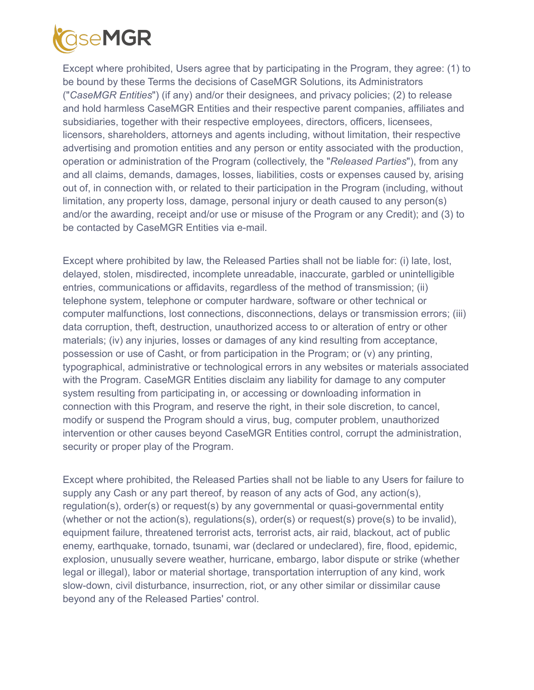

Except where prohibited, Users agree that by participating in the Program, they agree: (1) to be bound by these Terms the decisions of CaseMGR Solutions, its Administrators ("*CaseMGR Entities*") (if any) and/or their designees, and privacy policies; (2) to release and hold harmless CaseMGR Entities and their respective parent companies, affiliates and subsidiaries, together with their respective employees, directors, officers, licensees, licensors, shareholders, attorneys and agents including, without limitation, their respective advertising and promotion entities and any person or entity associated with the production, operation or administration of the Program (collectively, the "*Released Parties*"), from any and all claims, demands, damages, losses, liabilities, costs or expenses caused by, arising out of, in connection with, or related to their participation in the Program (including, without limitation, any property loss, damage, personal injury or death caused to any person(s) and/or the awarding, receipt and/or use or misuse of the Program or any Credit); and (3) to be contacted by CaseMGR Entities via e-mail.

Except where prohibited by law, the Released Parties shall not be liable for: (i) late, lost, delayed, stolen, misdirected, incomplete unreadable, inaccurate, garbled or unintelligible entries, communications or affidavits, regardless of the method of transmission; (ii) telephone system, telephone or computer hardware, software or other technical or computer malfunctions, lost connections, disconnections, delays or transmission errors; (iii) data corruption, theft, destruction, unauthorized access to or alteration of entry or other materials; (iv) any injuries, losses or damages of any kind resulting from acceptance, possession or use of Casht, or from participation in the Program; or (v) any printing, typographical, administrative or technological errors in any websites or materials associated with the Program. CaseMGR Entities disclaim any liability for damage to any computer system resulting from participating in, or accessing or downloading information in connection with this Program, and reserve the right, in their sole discretion, to cancel, modify or suspend the Program should a virus, bug, computer problem, unauthorized intervention or other causes beyond CaseMGR Entities control, corrupt the administration, security or proper play of the Program.

Except where prohibited, the Released Parties shall not be liable to any Users for failure to supply any Cash or any part thereof, by reason of any acts of God, any action(s), regulation(s), order(s) or request(s) by any governmental or quasi-governmental entity (whether or not the action(s), regulations(s), order(s) or request(s) prove(s) to be invalid), equipment failure, threatened terrorist acts, terrorist acts, air raid, blackout, act of public enemy, earthquake, tornado, tsunami, war (declared or undeclared), fire, flood, epidemic, explosion, unusually severe weather, hurricane, embargo, labor dispute or strike (whether legal or illegal), labor or material shortage, transportation interruption of any kind, work slow-down, civil disturbance, insurrection, riot, or any other similar or dissimilar cause beyond any of the Released Parties' control.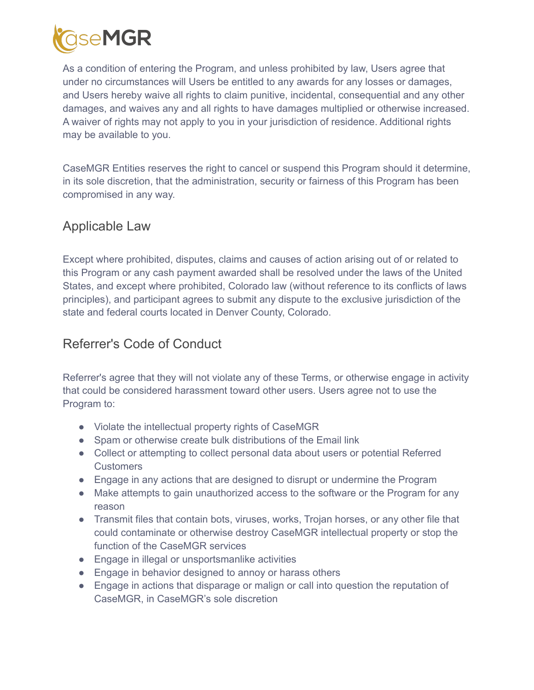

As a condition of entering the Program, and unless prohibited by law, Users agree that under no circumstances will Users be entitled to any awards for any losses or damages, and Users hereby waive all rights to claim punitive, incidental, consequential and any other damages, and waives any and all rights to have damages multiplied or otherwise increased. A waiver of rights may not apply to you in your jurisdiction of residence. Additional rights may be available to you.

CaseMGR Entities reserves the right to cancel or suspend this Program should it determine, in its sole discretion, that the administration, security or fairness of this Program has been compromised in any way.

### Applicable Law

Except where prohibited, disputes, claims and causes of action arising out of or related to this Program or any cash payment awarded shall be resolved under the laws of the United States, and except where prohibited, Colorado law (without reference to its conflicts of laws principles), and participant agrees to submit any dispute to the exclusive jurisdiction of the state and federal courts located in Denver County, Colorado.

### Referrer's Code of Conduct

Referrer's agree that they will not violate any of these Terms, or otherwise engage in activity that could be considered harassment toward other users. Users agree not to use the Program to:

- Violate the intellectual property rights of CaseMGR
- Spam or otherwise create bulk distributions of the Email link
- Collect or attempting to collect personal data about users or potential Referred **Customers**
- Engage in any actions that are designed to disrupt or undermine the Program
- Make attempts to gain unauthorized access to the software or the Program for any reason
- Transmit files that contain bots, viruses, works, Trojan horses, or any other file that could contaminate or otherwise destroy CaseMGR intellectual property or stop the function of the CaseMGR services
- Engage in illegal or unsportsmanlike activities
- Engage in behavior designed to annoy or harass others
- Engage in actions that disparage or malign or call into question the reputation of CaseMGR, in CaseMGR's sole discretion